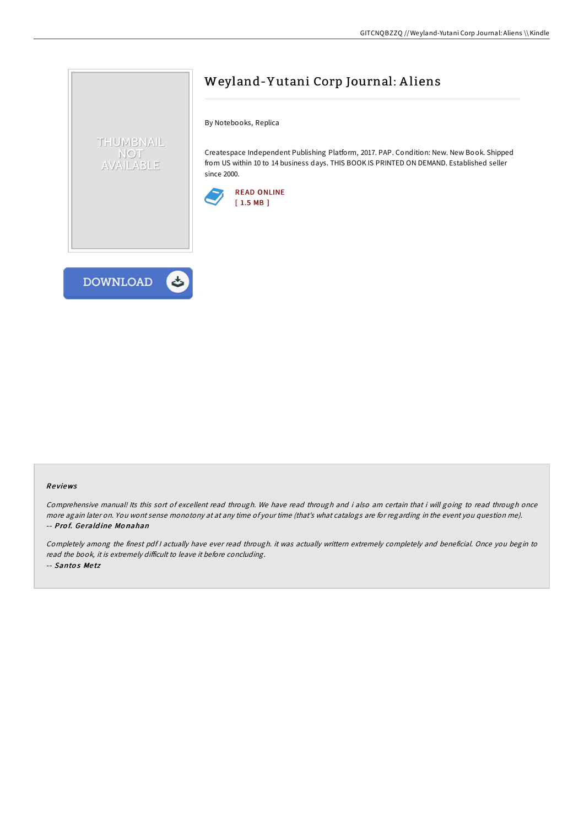

## Weyland-Y utani Corp Journal: A liens

By Notebooks, Replica

Createspace Independent Publishing Platform, 2017. PAP. Condition: New. New Book. Shipped from US within 10 to 14 business days. THIS BOOK IS PRINTED ON DEMAND. Established seller since 2000.



## Re views

Comprehensive manual! Its this sort of excellent read through. We have read through and i also am certain that i will going to read through once more again later on. You wont sense monotony at at any time of your time (that's what catalogs are for regarding in the event you question me). -- Prof. Geraldine Monahan

Completely among the finest pdf <sup>I</sup> actually have ever read through. it was actually writtern extremely completely and beneficial. Once you begin to read the book, it is extremely difficult to leave it before concluding. -- Santos Metz